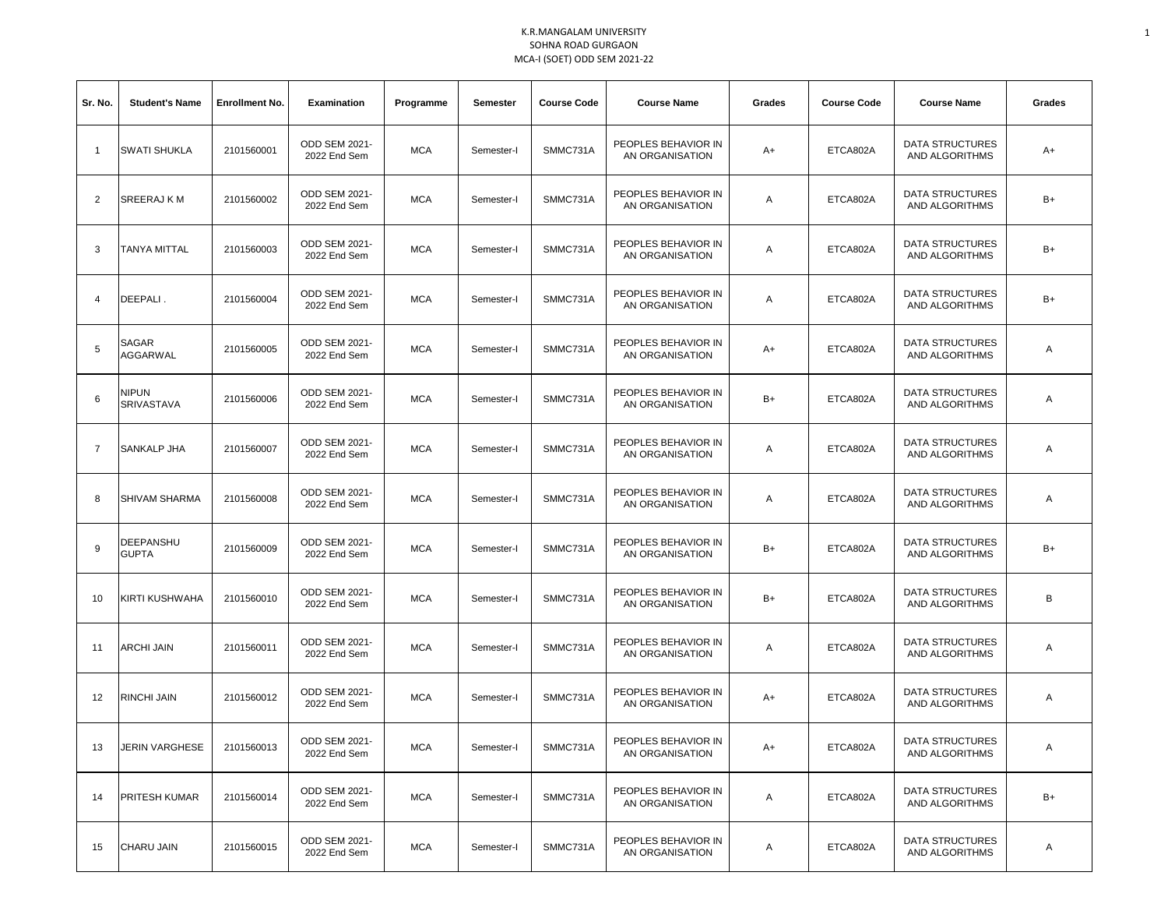| Sr. No.        | <b>Student's Name</b>     | <b>Enrollment No.</b> | Examination                          | Programme  | Semester   | <b>Course Code</b> | <b>Course Name</b>                     | Grades<br><b>Course Code</b><br><b>Course Name</b> |          | Grades                                   |      |
|----------------|---------------------------|-----------------------|--------------------------------------|------------|------------|--------------------|----------------------------------------|----------------------------------------------------|----------|------------------------------------------|------|
| $\mathbf{1}$   | <b>SWATI SHUKLA</b>       | 2101560001            | <b>ODD SEM 2021-</b><br>2022 End Sem | <b>MCA</b> | Semester-I | SMMC731A           | PEOPLES BEHAVIOR IN<br>AN ORGANISATION | A+                                                 | ETCA802A | DATA STRUCTURES<br>AND ALGORITHMS        | A+   |
| $\overline{2}$ | SREERAJ K M               | 2101560002            | ODD SEM 2021-<br>2022 End Sem        | <b>MCA</b> | Semester-I | SMMC731A           | PEOPLES BEHAVIOR IN<br>AN ORGANISATION | Α                                                  | ETCA802A | DATA STRUCTURES<br>AND ALGORITHMS        | B+   |
| 3              | TANYA MITTAL              | 2101560003            | ODD SEM 2021-<br>2022 End Sem        | <b>MCA</b> | Semester-I | SMMC731A           | PEOPLES BEHAVIOR IN<br>AN ORGANISATION | Α                                                  | ETCA802A | <b>DATA STRUCTURES</b><br>AND ALGORITHMS | $B+$ |
| 4              | DEEPALI.                  | 2101560004            | ODD SEM 2021-<br>2022 End Sem        | <b>MCA</b> | Semester-I | SMMC731A           | PEOPLES BEHAVIOR IN<br>AN ORGANISATION | Α                                                  | ETCA802A | DATA STRUCTURES<br>AND ALGORITHMS        | B+   |
| 5              | SAGAR<br>AGGARWAL         | 2101560005            | ODD SEM 2021-<br>2022 End Sem        | <b>MCA</b> | Semester-I | SMMC731A           | PEOPLES BEHAVIOR IN<br>AN ORGANISATION | A+                                                 | ETCA802A | <b>DATA STRUCTURES</b><br>AND ALGORITHMS | Α    |
| 6              | nipun<br>SRIVASTAVA       | 2101560006            | ODD SEM 2021-<br>2022 End Sem        | <b>MCA</b> | Semester-I | SMMC731A           | PEOPLES BEHAVIOR IN<br>AN ORGANISATION | $B+$                                               | ETCA802A | DATA STRUCTURES<br>AND ALGORITHMS        | Α    |
| $\overline{7}$ | SANKALP JHA               | 2101560007            | ODD SEM 2021-<br>2022 End Sem        | <b>MCA</b> | Semester-I | SMMC731A           | PEOPLES BEHAVIOR IN<br>AN ORGANISATION | Α                                                  | ETCA802A | <b>DATA STRUCTURES</b><br>AND ALGORITHMS | Α    |
| 8              | SHIVAM SHARMA             | 2101560008            | <b>ODD SEM 2021-</b><br>2022 End Sem | <b>MCA</b> | Semester-I | SMMC731A           | PEOPLES BEHAVIOR IN<br>AN ORGANISATION | Α                                                  | ETCA802A | DATA STRUCTURES<br>AND ALGORITHMS        | Α    |
| 9              | DEEPANSHU<br><b>GUPTA</b> | 2101560009            | <b>ODD SEM 2021-</b><br>2022 End Sem | <b>MCA</b> | Semester-I | SMMC731A           | PEOPLES BEHAVIOR IN<br>AN ORGANISATION | $B+$                                               | ETCA802A | DATA STRUCTURES<br>AND ALGORITHMS        | B+   |
| 10             | KIRTI KUSHWAHA            | 2101560010            | <b>ODD SEM 2021-</b><br>2022 End Sem | <b>MCA</b> | Semester-I | SMMC731A           | PEOPLES BEHAVIOR IN<br>AN ORGANISATION | $B+$                                               | ETCA802A | DATA STRUCTURES<br>AND ALGORITHMS        | В    |
| 11             | <b>ARCHI JAIN</b>         | 2101560011            | <b>ODD SEM 2021-</b><br>2022 End Sem | <b>MCA</b> | Semester-I | SMMC731A           | PEOPLES BEHAVIOR IN<br>AN ORGANISATION | Α                                                  | ETCA802A | DATA STRUCTURES<br>AND ALGORITHMS        | Α    |
| 12             | <b>RINCHI JAIN</b>        | 2101560012            | ODD SEM 2021-<br>2022 End Sem        | <b>MCA</b> | Semester-I | SMMC731A           | PEOPLES BEHAVIOR IN<br>AN ORGANISATION | A+                                                 | ETCA802A | <b>DATA STRUCTURES</b><br>AND ALGORITHMS | Α    |
| 13             | JERIN VARGHESE            | 2101560013            | ODD SEM 2021-<br>2022 End Sem        | <b>MCA</b> | Semester-I | SMMC731A           | PEOPLES BEHAVIOR IN<br>AN ORGANISATION | A+                                                 | ETCA802A | DATA STRUCTURES<br>AND ALGORITHMS        | A    |
| 14             | <b>PRITESH KUMAR</b>      | 2101560014            | <b>ODD SEM 2021-</b><br>2022 End Sem | <b>MCA</b> | Semester-I | SMMC731A           | PEOPLES BEHAVIOR IN<br>AN ORGANISATION | Α                                                  | ETCA802A | DATA STRUCTURES<br>AND ALGORITHMS        | B+   |
| 15             | CHARU JAIN                | 2101560015            | ODD SEM 2021-<br>2022 End Sem        | <b>MCA</b> | Semester-I | SMMC731A           | PEOPLES BEHAVIOR IN<br>AN ORGANISATION | Α                                                  | ETCA802A | DATA STRUCTURES<br>AND ALGORITHMS        | A    |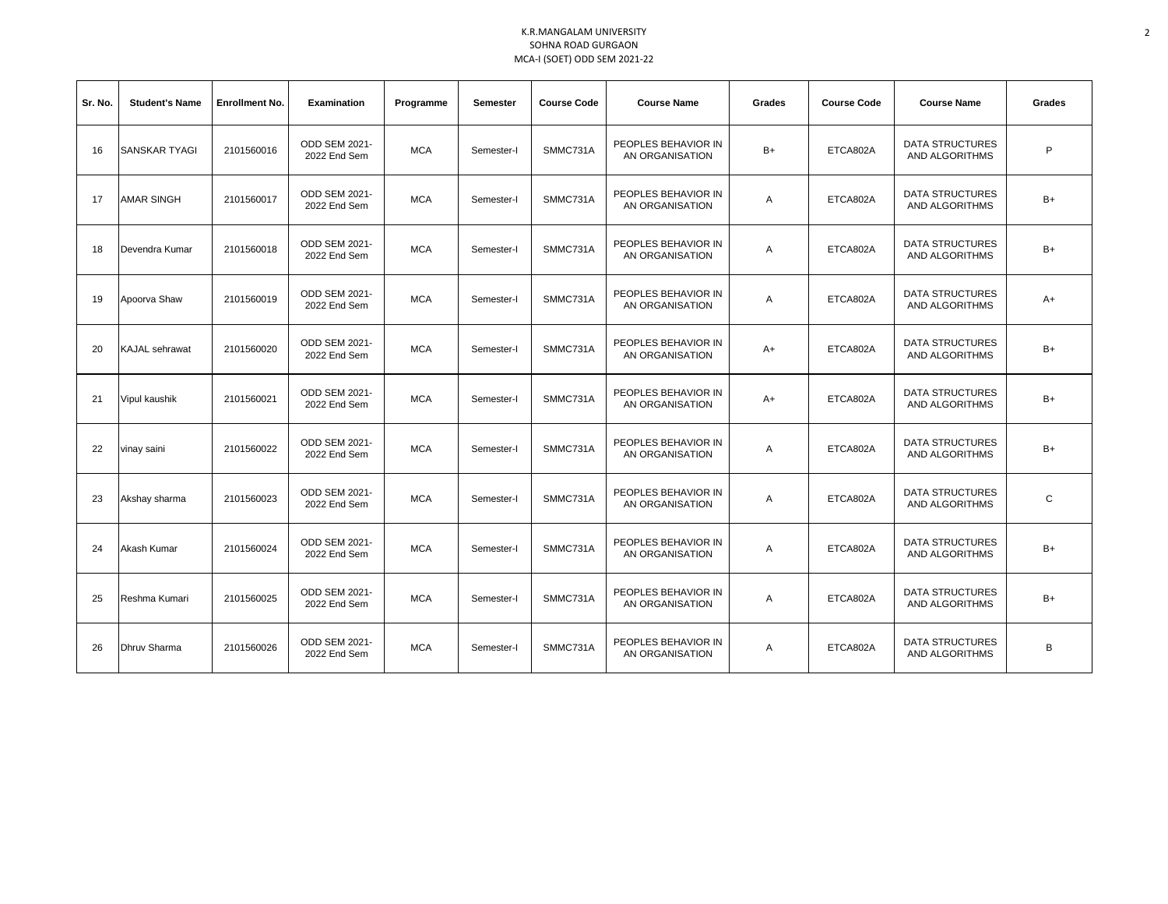| Sr. No. | <b>Student's Name</b> | <b>Enrollment No.</b> | <b>Examination</b>                   | Programme  | <b>Semester</b> | <b>Course Code</b> | <b>Course Name</b>                     | Grades | <b>Course Code</b> | <b>Course Name</b>                       | Grades       |
|---------|-----------------------|-----------------------|--------------------------------------|------------|-----------------|--------------------|----------------------------------------|--------|--------------------|------------------------------------------|--------------|
| 16      | <b>SANSKAR TYAGI</b>  | 2101560016            | <b>ODD SEM 2021-</b><br>2022 End Sem | <b>MCA</b> | Semester-I      | SMMC731A           | PEOPLES BEHAVIOR IN<br>AN ORGANISATION | $B+$   | ETCA802A           | <b>DATA STRUCTURES</b><br>AND ALGORITHMS | P            |
| 17      | <b>AMAR SINGH</b>     | 2101560017            | <b>ODD SEM 2021-</b><br>2022 End Sem | <b>MCA</b> | Semester-I      | SMMC731A           | PEOPLES BEHAVIOR IN<br>AN ORGANISATION | Α      | ETCA802A           | <b>DATA STRUCTURES</b><br>AND ALGORITHMS | $B+$         |
| 18      | Devendra Kumar        | 2101560018            | <b>ODD SEM 2021-</b><br>2022 End Sem | <b>MCA</b> | Semester-I      | SMMC731A           | PEOPLES BEHAVIOR IN<br>AN ORGANISATION | Α      | ETCA802A           | <b>DATA STRUCTURES</b><br>AND ALGORITHMS | $B+$         |
| 19      | Apoorva Shaw          | 2101560019            | ODD SEM 2021-<br>2022 End Sem        | <b>MCA</b> | Semester-I      | SMMC731A           | PEOPLES BEHAVIOR IN<br>AN ORGANISATION | Α      | ETCA802A           | <b>DATA STRUCTURES</b><br>AND ALGORITHMS | $A+$         |
| 20      | <b>KAJAL</b> sehrawat | 2101560020            | <b>ODD SEM 2021-</b><br>2022 End Sem | <b>MCA</b> | Semester-I      | SMMC731A           | PEOPLES BEHAVIOR IN<br>AN ORGANISATION | A+     | ETCA802A           | <b>DATA STRUCTURES</b><br>AND ALGORITHMS | $B+$         |
| 21      | Vipul kaushik         | 2101560021            | ODD SEM 2021-<br>2022 End Sem        | <b>MCA</b> | Semester-I      | SMMC731A           | PEOPLES BEHAVIOR IN<br>AN ORGANISATION | $A+$   | ETCA802A           | <b>DATA STRUCTURES</b><br>AND ALGORITHMS | $B+$         |
| 22      | vinay saini           | 2101560022            | <b>ODD SEM 2021-</b><br>2022 End Sem | <b>MCA</b> | Semester-I      | SMMC731A           | PEOPLES BEHAVIOR IN<br>AN ORGANISATION | A      | ETCA802A           | <b>DATA STRUCTURES</b><br>AND ALGORITHMS | $B+$         |
| 23      | Akshay sharma         | 2101560023            | <b>ODD SEM 2021-</b><br>2022 End Sem | <b>MCA</b> | Semester-I      | SMMC731A           | PEOPLES BEHAVIOR IN<br>AN ORGANISATION | Α      | ETCA802A           | <b>DATA STRUCTURES</b><br>AND ALGORITHMS | $\mathsf{C}$ |
| 24      | Akash Kumar           | 2101560024            | <b>ODD SEM 2021-</b><br>2022 End Sem | <b>MCA</b> | Semester-I      | SMMC731A           | PEOPLES BEHAVIOR IN<br>AN ORGANISATION | Α      | ETCA802A           | <b>DATA STRUCTURES</b><br>AND ALGORITHMS | $B+$         |
| 25      | Reshma Kumari         | 2101560025            | <b>ODD SEM 2021-</b><br>2022 End Sem | <b>MCA</b> | Semester-I      | SMMC731A           | PEOPLES BEHAVIOR IN<br>AN ORGANISATION | Α      | ETCA802A           | <b>DATA STRUCTURES</b><br>AND ALGORITHMS | $B+$         |
| 26      | Dhruy Sharma          | 2101560026            | ODD SEM 2021-<br>2022 End Sem        | <b>MCA</b> | Semester-I      | SMMC731A           | PEOPLES BEHAVIOR IN<br>AN ORGANISATION | A      | ETCA802A           | <b>DATA STRUCTURES</b><br>AND ALGORITHMS | В            |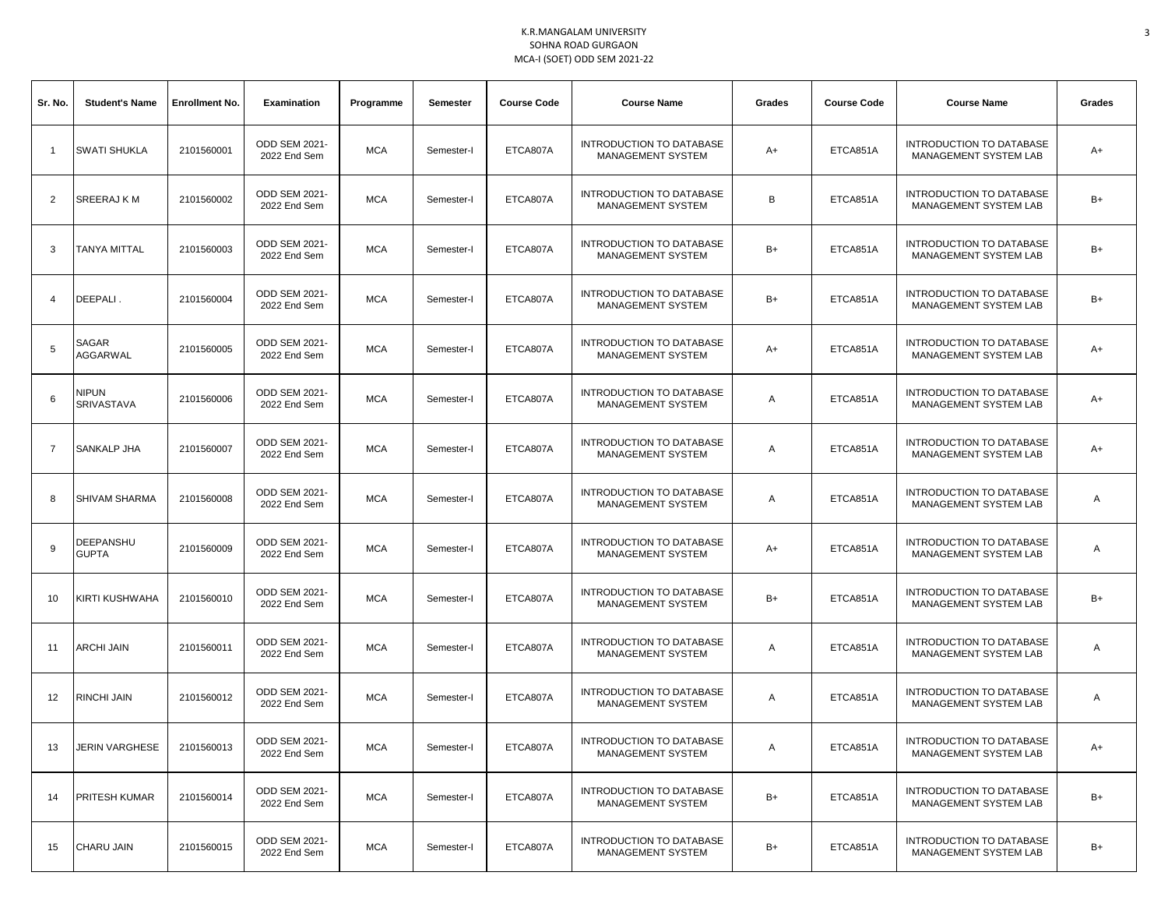| Sr. No.        | <b>Student's Name</b>            | <b>Enrollment No.</b> | <b>Examination</b>                   | Programme  | Semester   | <b>Course Code</b> | <b>Course Name</b>                                          | Grades | <b>Course Code</b> | <b>Course Name</b>                                              | Grades |
|----------------|----------------------------------|-----------------------|--------------------------------------|------------|------------|--------------------|-------------------------------------------------------------|--------|--------------------|-----------------------------------------------------------------|--------|
| $\overline{1}$ | <b>SWATI SHUKLA</b>              | 2101560001            | ODD SEM 2021-<br>2022 End Sem        | MCA        | Semester-I | ETCA807A           | INTRODUCTION TO DATABASE<br>MANAGEMENT SYSTEM               | A+     | ETCA851A           | INTRODUCTION TO DATABASE<br><b>MANAGEMENT SYSTEM LAB</b>        | A+     |
| 2              | SREERAJ K M                      | 2101560002            | <b>ODD SEM 2021-</b><br>2022 End Sem | <b>MCA</b> | Semester-I | ETCA807A           | INTRODUCTION TO DATABASE<br>MANAGEMENT SYSTEM               | В      | ETCA851A           | INTRODUCTION TO DATABASE<br>MANAGEMENT SYSTEM LAB               | $B+$   |
| 3              | TANYA MITTAL                     | 2101560003            | ODD SEM 2021-<br>2022 End Sem        | <b>MCA</b> | Semester-I | ETCA807A           | <b>INTRODUCTION TO DATABASE</b><br><b>MANAGEMENT SYSTEM</b> | B+     | ETCA851A           | INTRODUCTION TO DATABASE<br>MANAGEMENT SYSTEM LAB               | B+     |
| $\overline{4}$ | DEEPALI.                         | 2101560004            | ODD SEM 2021-<br>2022 End Sem        | <b>MCA</b> | Semester-I | ETCA807A           | INTRODUCTION TO DATABASE<br>MANAGEMENT SYSTEM               | $B+$   | ETCA851A           | INTRODUCTION TO DATABASE<br>MANAGEMENT SYSTEM LAB               | B+     |
| 5              | SAGAR<br>AGGARWAL                | 2101560005            | ODD SEM 2021-<br>2022 End Sem        | MCA        | Semester-I | ETCA807A           | <b>INTRODUCTION TO DATABASE</b><br>MANAGEMENT SYSTEM        | A+     | ETCA851A           | INTRODUCTION TO DATABASE<br>MANAGEMENT SYSTEM LAB               | A+     |
| 6              | <b>NIPUN</b><br>SRIVASTAVA       | 2101560006            | ODD SEM 2021-<br>2022 End Sem        | <b>MCA</b> | Semester-I | ETCA807A           | <b>INTRODUCTION TO DATABASE</b><br>MANAGEMENT SYSTEM        | Α      | ETCA851A           | <b>INTRODUCTION TO DATABASE</b><br><b>MANAGEMENT SYSTEM LAB</b> | A+     |
| 7              | SANKALP JHA                      | 2101560007            | ODD SEM 2021-<br>2022 End Sem        | <b>MCA</b> | Semester-I | ETCA807A           | <b>INTRODUCTION TO DATABASE</b><br><b>MANAGEMENT SYSTEM</b> | Α      | ETCA851A           | INTRODUCTION TO DATABASE<br>MANAGEMENT SYSTEM LAB               | A+     |
| 8              | <b>SHIVAM SHARMA</b>             | 2101560008            | ODD SEM 2021-<br>2022 End Sem        | <b>MCA</b> | Semester-I | ETCA807A           | <b>INTRODUCTION TO DATABASE</b><br>MANAGEMENT SYSTEM        | Α      | ETCA851A           | INTRODUCTION TO DATABASE<br>MANAGEMENT SYSTEM LAB               | Α      |
| 9              | <b>DEEPANSHU</b><br><b>GUPTA</b> | 2101560009            | ODD SEM 2021-<br>2022 End Sem        | MCA        | Semester-I | ETCA807A           | INTRODUCTION TO DATABASE<br>MANAGEMENT SYSTEM               | A+     | ETCA851A           | INTRODUCTION TO DATABASE<br>MANAGEMENT SYSTEM LAB               | Α      |
| 10             | KIRTI KUSHWAHA                   | 2101560010            | ODD SEM 2021-<br>2022 End Sem        | <b>MCA</b> | Semester-I | ETCA807A           | INTRODUCTION TO DATABASE<br>MANAGEMENT SYSTEM               | $B+$   | ETCA851A           | INTRODUCTION TO DATABASE<br>MANAGEMENT SYSTEM LAB               | $B+$   |
| 11             | ARCHI JAIN                       | 2101560011            | ODD SEM 2021-<br>2022 End Sem        | <b>MCA</b> | Semester-I | ETCA807A           | INTRODUCTION TO DATABASE<br>MANAGEMENT SYSTEM               | Α      | ETCA851A           | INTRODUCTION TO DATABASE<br>MANAGEMENT SYSTEM LAB               | Α      |
| 12             | RINCHI JAIN                      | 2101560012            | ODD SEM 2021-<br>2022 End Sem        | <b>MCA</b> | Semester-I | ETCA807A           | <b>INTRODUCTION TO DATABASE</b><br>MANAGEMENT SYSTEM        | Α      | ETCA851A           | INTRODUCTION TO DATABASE<br>MANAGEMENT SYSTEM LAB               | Α      |
| 13             | <b>JERIN VARGHESE</b>            | 2101560013            | <b>ODD SEM 2021-</b><br>2022 End Sem | MCA        | Semester-I | ETCA807A           | INTRODUCTION TO DATABASE<br>MANAGEMENT SYSTEM               | Α      | ETCA851A           | INTRODUCTION TO DATABASE<br>MANAGEMENT SYSTEM LAB               | A+     |
| 14             | <b>PRITESH KUMAR</b>             | 2101560014            | <b>ODD SEM 2021-</b><br>2022 End Sem | <b>MCA</b> | Semester-I | ETCA807A           | INTRODUCTION TO DATABASE<br>MANAGEMENT SYSTEM               | $B+$   | ETCA851A           | INTRODUCTION TO DATABASE<br><b>MANAGEMENT SYSTEM LAB</b>        | B+     |
| 15             | <b>CHARU JAIN</b>                | 2101560015            | ODD SEM 2021-<br>2022 End Sem        | <b>MCA</b> | Semester-I | ETCA807A           | <b>INTRODUCTION TO DATABASE</b><br>MANAGEMENT SYSTEM        | $B+$   | ETCA851A           | INTRODUCTION TO DATABASE<br>MANAGEMENT SYSTEM LAB               | B+     |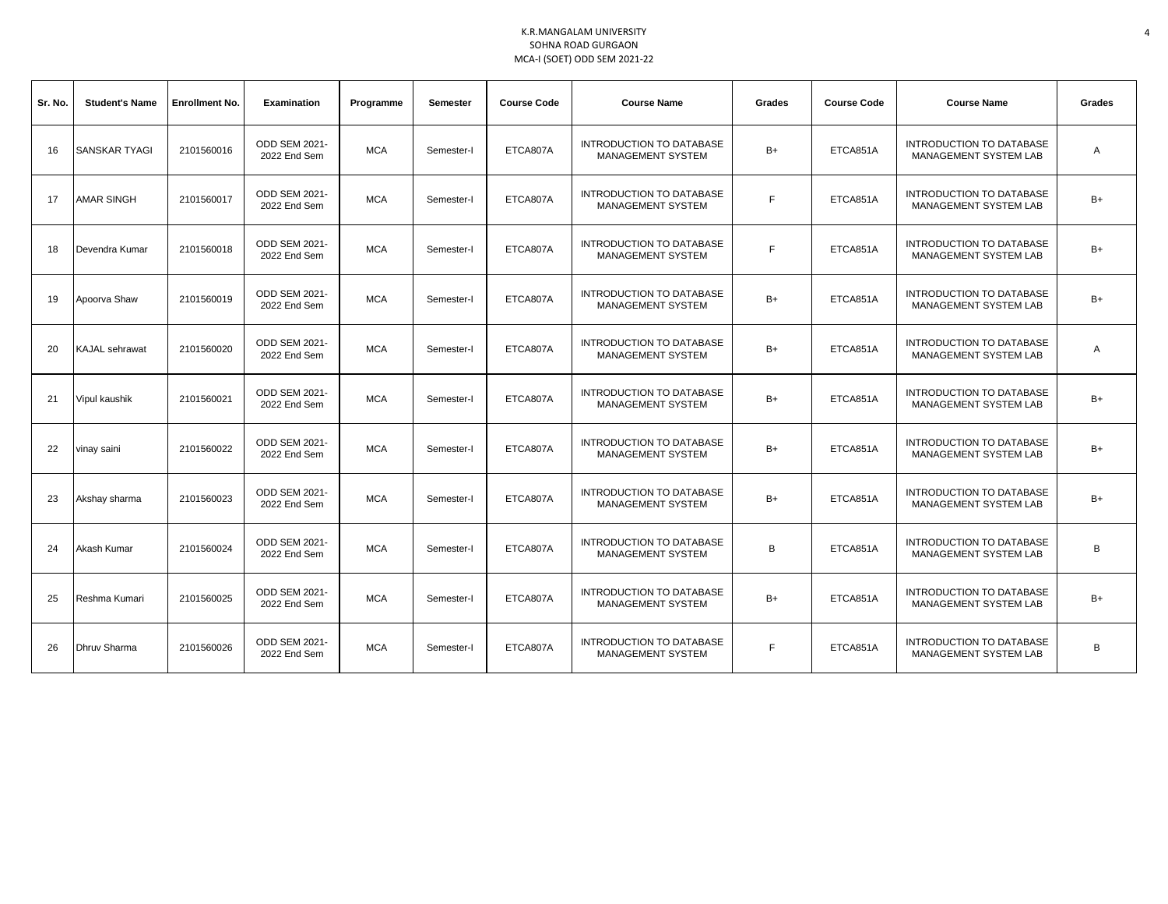| Sr. No. | <b>Student's Name</b> | <b>Enrollment No.</b> | <b>Examination</b>                   | Programme  | <b>Semester</b> | <b>Course Code</b> | <b>Course Name</b>                                          | Grades<br><b>Course Code</b><br><b>Course Name</b> |          |                                                          | Grades |
|---------|-----------------------|-----------------------|--------------------------------------|------------|-----------------|--------------------|-------------------------------------------------------------|----------------------------------------------------|----------|----------------------------------------------------------|--------|
| 16      | <b>ISANSKAR TYAGI</b> | 2101560016            | <b>ODD SEM 2021-</b><br>2022 End Sem | <b>MCA</b> | Semester-I      | ETCA807A           | <b>INTRODUCTION TO DATABASE</b><br>MANAGEMENT SYSTEM        | B+                                                 | ETCA851A | <b>INTRODUCTION TO DATABASE</b><br>MANAGEMENT SYSTEM LAB | A      |
| 17      | <b>AMAR SINGH</b>     | 2101560017            | <b>ODD SEM 2021-</b><br>2022 End Sem | <b>MCA</b> | Semester-I      | ETCA807A           | <b>INTRODUCTION TO DATABASE</b><br>MANAGEMENT SYSTEM        | F.                                                 | ETCA851A | <b>INTRODUCTION TO DATABASE</b><br>MANAGEMENT SYSTEM LAB | $B+$   |
| 18      | Devendra Kumar        | 2101560018            | <b>ODD SEM 2021-</b><br>2022 End Sem | <b>MCA</b> | Semester-I      | ETCA807A           | <b>INTRODUCTION TO DATABASE</b><br>MANAGEMENT SYSTEM        | F.                                                 | ETCA851A | <b>INTRODUCTION TO DATABASE</b><br>MANAGEMENT SYSTEM LAB | $B+$   |
| 19      | Apoorva Shaw          | 2101560019            | ODD SEM 2021-<br>2022 End Sem        | <b>MCA</b> | Semester-I      | ETCA807A           | <b>INTRODUCTION TO DATABASE</b><br>MANAGEMENT SYSTEM        | $B+$                                               | ETCA851A | INTRODUCTION TO DATABASE<br>MANAGEMENT SYSTEM LAB        | $B+$   |
| 20      | <b>KAJAL</b> sehrawat | 2101560020            | ODD SEM 2021-<br>2022 End Sem        | <b>MCA</b> | Semester-I      | ETCA807A           | <b>INTRODUCTION TO DATABASE</b><br><b>MANAGEMENT SYSTEM</b> | $B+$                                               | ETCA851A | INTRODUCTION TO DATABASE<br><b>MANAGEMENT SYSTEM LAB</b> | Α      |
| 21      | Vipul kaushik         | 2101560021            | ODD SEM 2021-<br>2022 End Sem        | <b>MCA</b> | Semester-I      | ETCA807A           | INTRODUCTION TO DATABASE<br><b>MANAGEMENT SYSTEM</b>        | $B+$                                               | ETCA851A | INTRODUCTION TO DATABASE<br><b>MANAGEMENT SYSTEM LAB</b> | $B+$   |
| 22      | vinay saini           | 2101560022            | <b>ODD SEM 2021-</b><br>2022 End Sem | <b>MCA</b> | Semester-I      | ETCA807A           | <b>INTRODUCTION TO DATABASE</b><br>MANAGEMENT SYSTEM        | B+                                                 | ETCA851A | <b>INTRODUCTION TO DATABASE</b><br>MANAGEMENT SYSTEM LAB | $B+$   |
| 23      | Akshay sharma         | 2101560023            | <b>ODD SEM 2021-</b><br>2022 End Sem | <b>MCA</b> | Semester-I      | ETCA807A           | <b>INTRODUCTION TO DATABASE</b><br>MANAGEMENT SYSTEM        | $B+$                                               | ETCA851A | INTRODUCTION TO DATABASE<br>MANAGEMENT SYSTEM LAB        | $B+$   |
| 24      | Akash Kumar           | 2101560024            | <b>ODD SEM 2021-</b><br>2022 End Sem | <b>MCA</b> | Semester-I      | ETCA807A           | <b>INTRODUCTION TO DATABASE</b><br>MANAGEMENT SYSTEM        | B                                                  | ETCA851A | <b>INTRODUCTION TO DATABASE</b><br>MANAGEMENT SYSTEM LAB | В      |
| 25      | Reshma Kumari         | 2101560025            | <b>ODD SEM 2021-</b><br>2022 End Sem | <b>MCA</b> | Semester-I      | ETCA807A           | <b>INTRODUCTION TO DATABASE</b><br>MANAGEMENT SYSTEM        | $B+$                                               | ETCA851A | <b>INTRODUCTION TO DATABASE</b><br>MANAGEMENT SYSTEM LAB | $B+$   |
| 26      | <b>Dhruv Sharma</b>   | 2101560026            | <b>ODD SEM 2021-</b><br>2022 End Sem | <b>MCA</b> | Semester-I      | ETCA807A           | <b>INTRODUCTION TO DATABASE</b><br><b>MANAGEMENT SYSTEM</b> | F.                                                 | ETCA851A | <b>INTRODUCTION TO DATABASE</b><br>MANAGEMENT SYSTEM LAB | B      |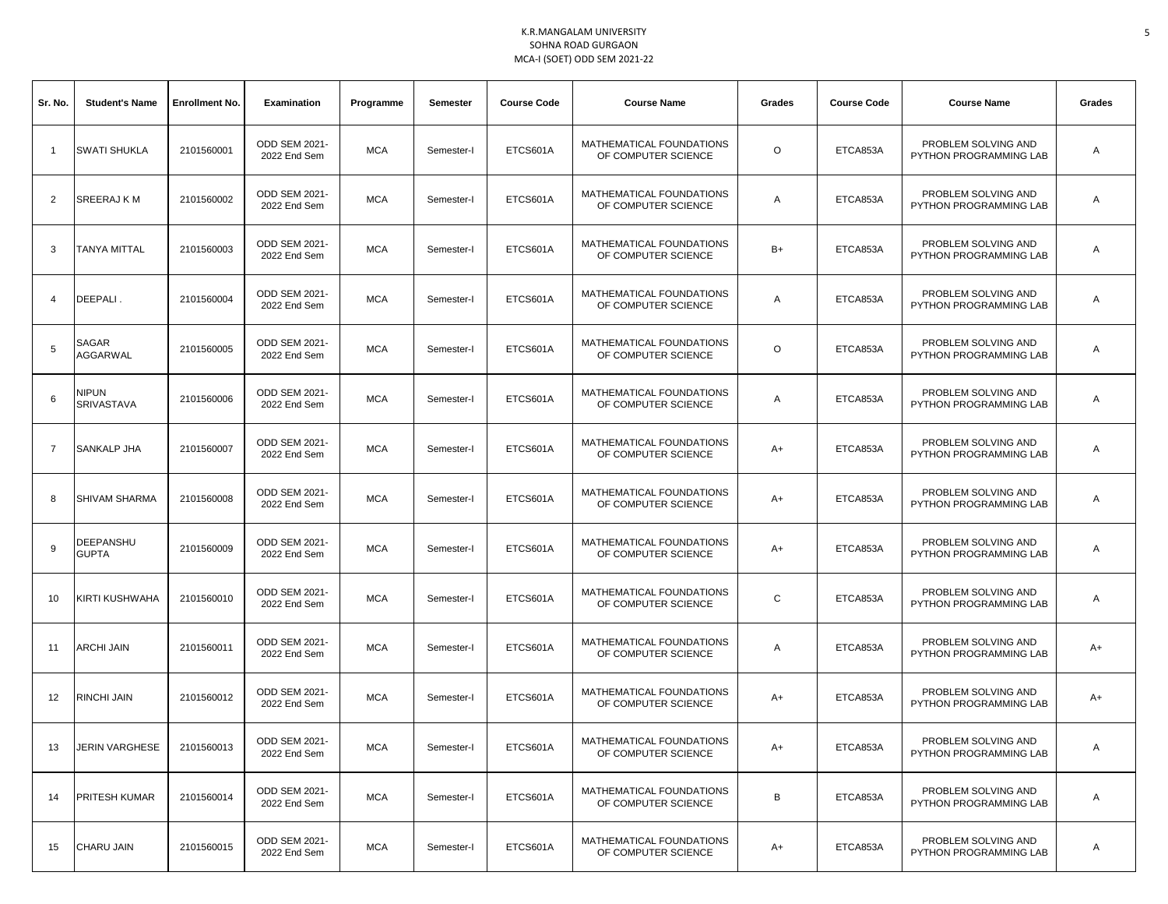| Sr. No.        | <b>Student's Name</b>             | <b>Enrollment No.</b> | Examination                          | Programme  | <b>Semester</b> | <b>Course Code</b> | <b>Course Name</b>                              | Grades  | <b>Course Code</b> | <b>Course Name</b>                            | Grades |
|----------------|-----------------------------------|-----------------------|--------------------------------------|------------|-----------------|--------------------|-------------------------------------------------|---------|--------------------|-----------------------------------------------|--------|
| $\mathbf{1}$   | <b>SWATI SHUKLA</b>               | 2101560001            | <b>ODD SEM 2021-</b><br>2022 End Sem | <b>MCA</b> | Semester-I      | ETCS601A           | MATHEMATICAL FOUNDATIONS<br>OF COMPUTER SCIENCE | $\circ$ | ETCA853A           | PROBLEM SOLVING AND<br>PYTHON PROGRAMMING LAB | Α      |
| 2              | <b>SREERAJ K M</b>                | 2101560002            | <b>ODD SEM 2021-</b><br>2022 End Sem | <b>MCA</b> | Semester-I      | ETCS601A           | MATHEMATICAL FOUNDATIONS<br>OF COMPUTER SCIENCE | Α       | ETCA853A           | PROBLEM SOLVING AND<br>PYTHON PROGRAMMING LAB | Α      |
| 3              | <b>TANYA MITTAL</b>               | 2101560003            | <b>ODD SEM 2021-</b><br>2022 End Sem | <b>MCA</b> | Semester-I      | ETCS601A           | MATHEMATICAL FOUNDATIONS<br>OF COMPUTER SCIENCE | $B+$    | ETCA853A           | PROBLEM SOLVING AND<br>PYTHON PROGRAMMING LAB | Α      |
| 4              | DEEPALI.                          | 2101560004            | <b>ODD SEM 2021-</b><br>2022 End Sem | <b>MCA</b> | Semester-I      | ETCS601A           | MATHEMATICAL FOUNDATIONS<br>OF COMPUTER SCIENCE | Α       | ETCA853A           | PROBLEM SOLVING AND<br>PYTHON PROGRAMMING LAB | Α      |
| 5              | SAGAR<br>AGGARWAL                 | 2101560005            | ODD SEM 2021-<br>2022 End Sem        | <b>MCA</b> | Semester-I      | ETCS601A           | MATHEMATICAL FOUNDATIONS<br>OF COMPUTER SCIENCE | $\circ$ | ETCA853A           | PROBLEM SOLVING AND<br>PYTHON PROGRAMMING LAB | Α      |
| 6              | <b>NIPUN</b><br><b>SRIVASTAVA</b> | 2101560006            | <b>ODD SEM 2021-</b><br>2022 End Sem | <b>MCA</b> | Semester-I      | ETCS601A           | MATHEMATICAL FOUNDATIONS<br>OF COMPUTER SCIENCE | Α       | ETCA853A           | PROBLEM SOLVING AND<br>PYTHON PROGRAMMING LAB | Α      |
| $\overline{7}$ | <b>SANKALP JHA</b>                | 2101560007            | ODD SEM 2021-<br>2022 End Sem        | <b>MCA</b> | Semester-I      | ETCS601A           | MATHEMATICAL FOUNDATIONS<br>OF COMPUTER SCIENCE | A+      | ETCA853A           | PROBLEM SOLVING AND<br>PYTHON PROGRAMMING LAB | Α      |
| 8              | <b>SHIVAM SHARMA</b>              | 2101560008            | ODD SEM 2021-<br>2022 End Sem        | <b>MCA</b> | Semester-I      | ETCS601A           | MATHEMATICAL FOUNDATIONS<br>OF COMPUTER SCIENCE | A+      | ETCA853A           | PROBLEM SOLVING AND<br>PYTHON PROGRAMMING LAB | Α      |
| 9              | DEEPANSHU<br><b>GUPTA</b>         | 2101560009            | <b>ODD SEM 2021-</b><br>2022 End Sem | <b>MCA</b> | Semester-I      | ETCS601A           | MATHEMATICAL FOUNDATIONS<br>OF COMPUTER SCIENCE | A+      | ETCA853A           | PROBLEM SOLVING AND<br>PYTHON PROGRAMMING LAB | Α      |
| 10             | <b>KIRTI KUSHWAHA</b>             | 2101560010            | ODD SEM 2021-<br>2022 End Sem        | <b>MCA</b> | Semester-I      | ETCS601A           | MATHEMATICAL FOUNDATIONS<br>OF COMPUTER SCIENCE | С       | ETCA853A           | PROBLEM SOLVING AND<br>PYTHON PROGRAMMING LAB | Α      |
| 11             | <b>ARCHI JAIN</b>                 | 2101560011            | ODD SEM 2021-<br>2022 End Sem        | <b>MCA</b> | Semester-I      | ETCS601A           | MATHEMATICAL FOUNDATIONS<br>OF COMPUTER SCIENCE | Α       | ETCA853A           | PROBLEM SOLVING AND<br>PYTHON PROGRAMMING LAB | A+     |
| 12             | <b>RINCHI JAIN</b>                | 2101560012            | ODD SEM 2021-<br>2022 End Sem        | <b>MCA</b> | Semester-I      | ETCS601A           | MATHEMATICAL FOUNDATIONS<br>OF COMPUTER SCIENCE | A+      | ETCA853A           | PROBLEM SOLVING AND<br>PYTHON PROGRAMMING LAB | A+     |
| 13             | JERIN VARGHESE                    | 2101560013            | ODD SEM 2021-<br>2022 End Sem        | <b>MCA</b> | Semester-I      | ETCS601A           | MATHEMATICAL FOUNDATIONS<br>OF COMPUTER SCIENCE | A+      | ETCA853A           | PROBLEM SOLVING AND<br>PYTHON PROGRAMMING LAB | Α      |
| 14             | <b>PRITESH KUMAR</b>              | 2101560014            | ODD SEM 2021-<br>2022 End Sem        | <b>MCA</b> | Semester-I      | ETCS601A           | MATHEMATICAL FOUNDATIONS<br>OF COMPUTER SCIENCE | В       | ETCA853A           | PROBLEM SOLVING AND<br>PYTHON PROGRAMMING LAB | Α      |
| 15             | <b>CHARU JAIN</b>                 | 2101560015            | ODD SEM 2021-<br>2022 End Sem        | <b>MCA</b> | Semester-I      | ETCS601A           | MATHEMATICAL FOUNDATIONS<br>OF COMPUTER SCIENCE | A+      | ETCA853A           | PROBLEM SOLVING AND<br>PYTHON PROGRAMMING LAB | Α      |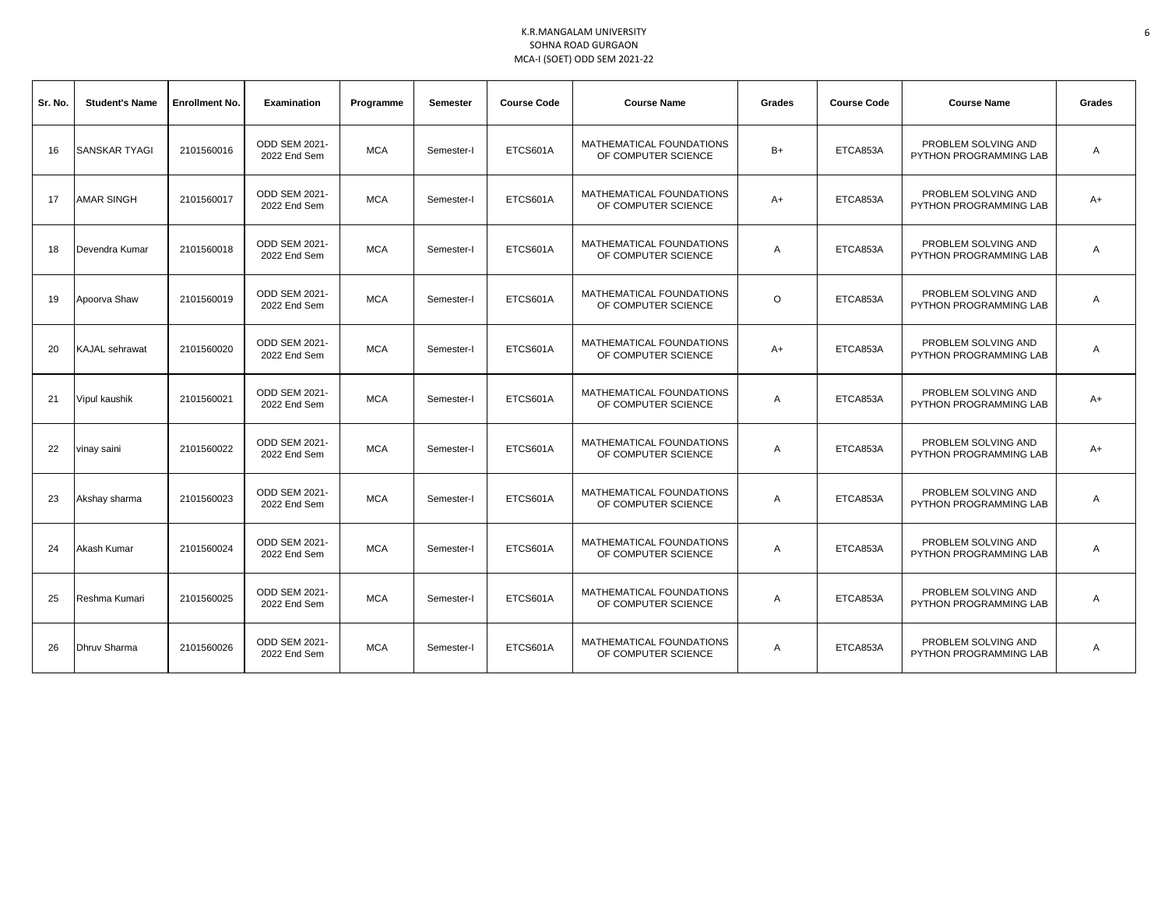| Sr. No. | <b>Student's Name</b> | <b>Enrollment No.</b> | <b>Examination</b>                   | Programme  | <b>Semester</b> | <b>Course Code</b> | <b>Course Name</b>                              | Grades  | <b>Course Code</b> | <b>Course Name</b>                            | Grades |
|---------|-----------------------|-----------------------|--------------------------------------|------------|-----------------|--------------------|-------------------------------------------------|---------|--------------------|-----------------------------------------------|--------|
| 16      | <b>SANSKAR TYAGI</b>  | 2101560016            | <b>ODD SEM 2021-</b><br>2022 End Sem | <b>MCA</b> | Semester-I      | ETCS601A           | MATHEMATICAL FOUNDATIONS<br>OF COMPUTER SCIENCE | $B+$    | ETCA853A           | PROBLEM SOLVING AND<br>PYTHON PROGRAMMING LAB | A      |
| 17      | <b>AMAR SINGH</b>     | 2101560017            | <b>ODD SEM 2021-</b><br>2022 End Sem | <b>MCA</b> | Semester-I      | ETCS601A           | MATHEMATICAL FOUNDATIONS<br>OF COMPUTER SCIENCE | $A+$    | ETCA853A           | PROBLEM SOLVING AND<br>PYTHON PROGRAMMING LAB | $A+$   |
| 18      | Devendra Kumar        | 2101560018            | <b>ODD SEM 2021-</b><br>2022 End Sem | <b>MCA</b> | Semester-I      | ETCS601A           | MATHEMATICAL FOUNDATIONS<br>OF COMPUTER SCIENCE | Α       | ETCA853A           | PROBLEM SOLVING AND<br>PYTHON PROGRAMMING LAB | A      |
| 19      | Apoorva Shaw          | 2101560019            | ODD SEM 2021-<br>2022 End Sem        | <b>MCA</b> | Semester-I      | ETCS601A           | MATHEMATICAL FOUNDATIONS<br>OF COMPUTER SCIENCE | $\circ$ | ETCA853A           | PROBLEM SOLVING AND<br>PYTHON PROGRAMMING LAB | Α      |
| 20      | <b>KAJAL</b> sehrawat | 2101560020            | <b>ODD SEM 2021-</b><br>2022 End Sem | <b>MCA</b> | Semester-I      | ETCS601A           | MATHEMATICAL FOUNDATIONS<br>OF COMPUTER SCIENCE | $A+$    | ETCA853A           | PROBLEM SOLVING AND<br>PYTHON PROGRAMMING LAB | Α      |
| 21      | Vipul kaushik         | 2101560021            | <b>ODD SEM 2021-</b><br>2022 End Sem | <b>MCA</b> | Semester-I      | ETCS601A           | MATHEMATICAL FOUNDATIONS<br>OF COMPUTER SCIENCE | Α       | ETCA853A           | PROBLEM SOLVING AND<br>PYTHON PROGRAMMING LAB | A+     |
| 22      | vinay saini           | 2101560022            | ODD SEM 2021-<br>2022 End Sem        | <b>MCA</b> | Semester-I      | ETCS601A           | MATHEMATICAL FOUNDATIONS<br>OF COMPUTER SCIENCE | Α       | ETCA853A           | PROBLEM SOLVING AND<br>PYTHON PROGRAMMING LAB | A+     |
| 23      | Akshay sharma         | 2101560023            | ODD SEM 2021-<br>2022 End Sem        | <b>MCA</b> | Semester-I      | ETCS601A           | MATHEMATICAL FOUNDATIONS<br>OF COMPUTER SCIENCE | A       | ETCA853A           | PROBLEM SOLVING AND<br>PYTHON PROGRAMMING LAB | Α      |
| 24      | Akash Kumar           | 2101560024            | <b>ODD SEM 2021-</b><br>2022 End Sem | <b>MCA</b> | Semester-I      | ETCS601A           | MATHEMATICAL FOUNDATIONS<br>OF COMPUTER SCIENCE | A       | ETCA853A           | PROBLEM SOLVING AND<br>PYTHON PROGRAMMING LAB | A      |
| 25      | Reshma Kumari         | 2101560025            | <b>ODD SEM 2021-</b><br>2022 End Sem | <b>MCA</b> | Semester-I      | ETCS601A           | MATHEMATICAL FOUNDATIONS<br>OF COMPUTER SCIENCE | A       | ETCA853A           | PROBLEM SOLVING AND<br>PYTHON PROGRAMMING LAB | Α      |
| 26      | <b>Dhruv Sharma</b>   | 2101560026            | ODD SEM 2021-<br>2022 End Sem        | <b>MCA</b> | Semester-I      | ETCS601A           | MATHEMATICAL FOUNDATIONS<br>OF COMPUTER SCIENCE | A       | ETCA853A           | PROBLEM SOLVING AND<br>PYTHON PROGRAMMING LAB | Α      |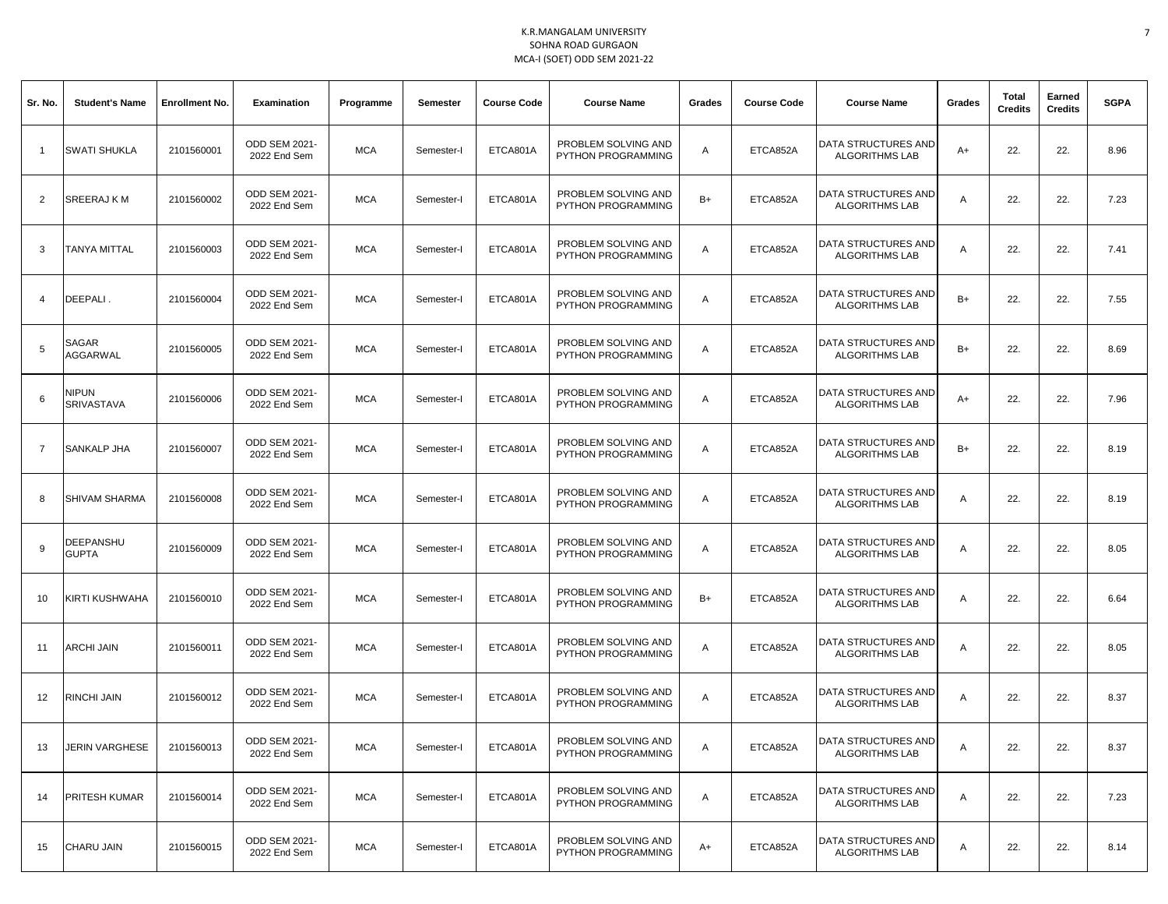| Sr. No.        | <b>Student's Name</b>      | <b>Enrollment No.</b> | <b>Examination</b>            | Programme  | Semester   | <b>Course Code</b> | <b>Course Name</b>                               | Grades | <b>Course Code</b> | <b>Course Name</b>                                  | Grades | Total<br><b>Credits</b> | Earned<br><b>Credits</b> | <b>SGPA</b> |
|----------------|----------------------------|-----------------------|-------------------------------|------------|------------|--------------------|--------------------------------------------------|--------|--------------------|-----------------------------------------------------|--------|-------------------------|--------------------------|-------------|
| $\overline{1}$ | <b>SWATI SHUKLA</b>        | 2101560001            | ODD SEM 2021-<br>2022 End Sem | <b>MCA</b> | Semester-I | ETCA801A           | PROBLEM SOLVING AND<br>PYTHON PROGRAMMING        | A      | ETCA852A           | DATA STRUCTURES AND<br><b>ALGORITHMS LAB</b>        | $A+$   | 22.                     | 22.                      | 8.96        |
| 2              | SREERAJ K M                | 2101560002            | ODD SEM 2021-<br>2022 End Sem | <b>MCA</b> | Semester-I | ETCA801A           | PROBLEM SOLVING AND<br>PYTHON PROGRAMMING        | $B+$   | ETCA852A           | DATA STRUCTURES AND<br><b>ALGORITHMS LAB</b>        | Α      | 22.                     | 22.                      | 7.23        |
| 3              | <b>TANYA MITTAL</b>        | 2101560003            | ODD SEM 2021-<br>2022 End Sem | <b>MCA</b> | Semester-I | ETCA801A           | PROBLEM SOLVING AND<br>PYTHON PROGRAMMING        | A      | ETCA852A           | DATA STRUCTURES AND<br><b>ALGORITHMS LAB</b>        | Α      | 22.                     | 22.                      | 7.41        |
| 4              | DEEPALI.                   | 2101560004            | ODD SEM 2021-<br>2022 End Sem | <b>MCA</b> | Semester-I | ETCA801A           | PROBLEM SOLVING AND<br>PYTHON PROGRAMMING        | A      | ETCA852A           | DATA STRUCTURES AND<br><b>ALGORITHMS LAB</b>        | $B+$   | 22.                     | 22.                      | 7.55        |
| 5              | SAGAR<br>AGGARWAL          | 2101560005            | ODD SEM 2021-<br>2022 End Sem | <b>MCA</b> | Semester-I | ETCA801A           | PROBLEM SOLVING AND<br>PYTHON PROGRAMMING        | Α      | ETCA852A           | DATA STRUCTURES AND<br><b>ALGORITHMS LAB</b>        | $B+$   | 22.                     | 22.                      | 8.69        |
| 6              | NIPUN<br><b>SRIVASTAVA</b> | 2101560006            | ODD SEM 2021-<br>2022 End Sem | <b>MCA</b> | Semester-I | ETCA801A           | PROBLEM SOLVING AND<br><b>PYTHON PROGRAMMING</b> | A      | ETCA852A           | DATA STRUCTURES AND<br><b>ALGORITHMS LAB</b>        | $A+$   | 22.                     | 22.                      | 7.96        |
| $\overline{7}$ | SANKALP JHA                | 2101560007            | ODD SEM 2021-<br>2022 End Sem | <b>MCA</b> | Semester-I | ETCA801A           | PROBLEM SOLVING AND<br>PYTHON PROGRAMMING        | A      | ETCA852A           | DATA STRUCTURES AND<br><b>ALGORITHMS LAB</b>        | $B+$   | 22.                     | 22.                      | 8.19        |
| 8              | <b>SHIVAM SHARMA</b>       | 2101560008            | ODD SEM 2021-<br>2022 End Sem | <b>MCA</b> | Semester-I | ETCA801A           | PROBLEM SOLVING AND<br>PYTHON PROGRAMMING        | A      | ETCA852A           | <b>DATA STRUCTURES AND</b><br><b>ALGORITHMS LAB</b> | Α      | 22.                     | 22.                      | 8.19        |
| 9              | DEEPANSHU<br><b>GUPTA</b>  | 2101560009            | ODD SEM 2021-<br>2022 End Sem | <b>MCA</b> | Semester-I | ETCA801A           | PROBLEM SOLVING AND<br>PYTHON PROGRAMMING        | A      | ETCA852A           | DATA STRUCTURES AND<br><b>ALGORITHMS LAB</b>        | Α      | 22.                     | 22.                      | 8.05        |
| 10             | KIRTI KUSHWAHA             | 2101560010            | ODD SEM 2021-<br>2022 End Sem | <b>MCA</b> | Semester-I | ETCA801A           | PROBLEM SOLVING AND<br>PYTHON PROGRAMMING        | $B+$   | ETCA852A           | DATA STRUCTURES AND<br><b>ALGORITHMS LAB</b>        | Α      | 22.                     | 22.                      | 6.64        |
| 11             | ARCHI JAIN                 | 2101560011            | ODD SEM 2021-<br>2022 End Sem | <b>MCA</b> | Semester-I | ETCA801A           | PROBLEM SOLVING AND<br>PYTHON PROGRAMMING        | A      | ETCA852A           | DATA STRUCTURES AND<br><b>ALGORITHMS LAB</b>        | Α      | 22.                     | 22.                      | 8.05        |
| 12             | RINCHI JAIN                | 2101560012            | ODD SEM 2021-<br>2022 End Sem | <b>MCA</b> | Semester-I | ETCA801A           | PROBLEM SOLVING AND<br>PYTHON PROGRAMMING        | A      | ETCA852A           | DATA STRUCTURES AND<br><b>ALGORITHMS LAB</b>        | Α      | 22.                     | 22.                      | 8.37        |
| 13             | <b>JERIN VARGHESE</b>      | 2101560013            | ODD SEM 2021-<br>2022 End Sem | <b>MCA</b> | Semester-I | ETCA801A           | PROBLEM SOLVING AND<br>PYTHON PROGRAMMING        | A      | ETCA852A           | DATA STRUCTURES AND<br><b>ALGORITHMS LAB</b>        | Α      | 22.                     | 22.                      | 8.37        |
| 14             | PRITESH KUMAR              | 2101560014            | ODD SEM 2021-<br>2022 End Sem | <b>MCA</b> | Semester-I | ETCA801A           | PROBLEM SOLVING AND<br>PYTHON PROGRAMMING        | A      | ETCA852A           | DATA STRUCTURES AND<br><b>ALGORITHMS LAB</b>        | A      | 22.                     | 22.                      | 7.23        |
| 15             | CHARU JAIN                 | 2101560015            | ODD SEM 2021-<br>2022 End Sem | <b>MCA</b> | Semester-I | ETCA801A           | PROBLEM SOLVING AND<br>PYTHON PROGRAMMING        | A+     | ETCA852A           | DATA STRUCTURES AND<br><b>ALGORITHMS LAB</b>        | Α      | 22.                     | 22.                      | 8.14        |